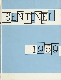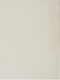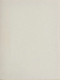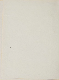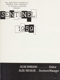THE ASSOCIATED STUDENTS OF MONTANA STATE UNIVERSITY AT MISSOULA, MONTANA PRESENT :



**JACK UPSHAW.................Editor** ALEX GEORGE... BusinessManager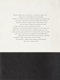Introducing Montana State University and a year within the confines of this campus—It was a year of probing pressures and transition.

An influx of new students once again changed the complexion and personality of the University face. The life of the typical college student changed, but it was still focused on the same traditional aspects of University life. There are so many unique experiences that our time here became

a happy refuge from a restless world until that fateful day

in June when we got out from the University to make our way in the world. It is this life that we have attempted to depict on the following pages. There is so much to tell that cannot be put down on the written page-the feeling of excitement when we sit in a cheering crowd, the hollowness in the pit of the stomach

as the instructor hands back test papers, the joy of the letters from home, the pleasure of taking the right partner to the big function,-

and so many more. Add these emotional depths to the story told herein and you have a picture of MSU.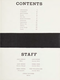## **CONTENTS**

|  |  |  | 5                                                                                                                                                                                                                          |
|--|--|--|----------------------------------------------------------------------------------------------------------------------------------------------------------------------------------------------------------------------------|
|  |  |  | 22                                                                                                                                                                                                                         |
|  |  |  | 27                                                                                                                                                                                                                         |
|  |  |  | 63                                                                                                                                                                                                                         |
|  |  |  | 71                                                                                                                                                                                                                         |
|  |  |  | 91                                                                                                                                                                                                                         |
|  |  |  |                                                                                                                                                                                                                            |
|  |  |  |                                                                                                                                                                                                                            |
|  |  |  |                                                                                                                                                                                                                            |
|  |  |  |                                                                                                                                                                                                                            |
|  |  |  |                                                                                                                                                                                                                            |
|  |  |  |                                                                                                                                                                                                                            |
|  |  |  | Administration<br>Compendium<br>School Calendar<br>Royalty<br>Fine Arts<br>Student Government<br>Publications 99<br>Organizations 107<br>Military Life 129<br>Athletics : 135<br>Living Groups 165<br>$\text{Classes}$ 217 |

## **STAFF**

**JACK UPSHAW** Editor

**JANE BORDEN** Associate Editor

ALEX GEORGE **Business Manager**  NORMA FRIES Associate Editor

Photographer

HIDEO KIMURA FRED WOLLSCHLAGER Associate Editor

> **CYRILE VAN DUSER** Adviser